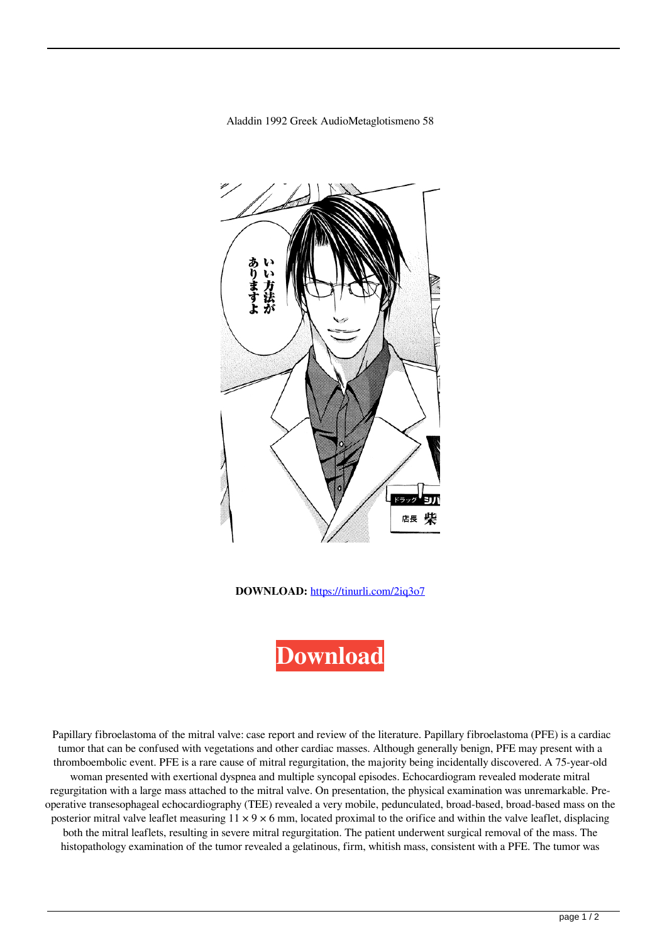Aladdin 1992 Greek AudioMetaglotismeno 58



**DOWNLOAD:** <https://tinurli.com/2iq3o7>



 Papillary fibroelastoma of the mitral valve: case report and review of the literature. Papillary fibroelastoma (PFE) is a cardiac tumor that can be confused with vegetations and other cardiac masses. Although generally benign, PFE may present with a thromboembolic event. PFE is a rare cause of mitral regurgitation, the majority being incidentally discovered. A 75-year-old woman presented with exertional dyspnea and multiple syncopal episodes. Echocardiogram revealed moderate mitral regurgitation with a large mass attached to the mitral valve. On presentation, the physical examination was unremarkable. Preoperative transesophageal echocardiography (TEE) revealed a very mobile, pedunculated, broad-based, broad-based mass on the posterior mitral valve leaflet measuring  $11 \times 9 \times 6$  mm, located proximal to the orifice and within the valve leaflet, displacing both the mitral leaflets, resulting in severe mitral regurgitation. The patient underwent surgical removal of the mass. The histopathology examination of the tumor revealed a gelatinous, firm, whitish mass, consistent with a PFE. The tumor was